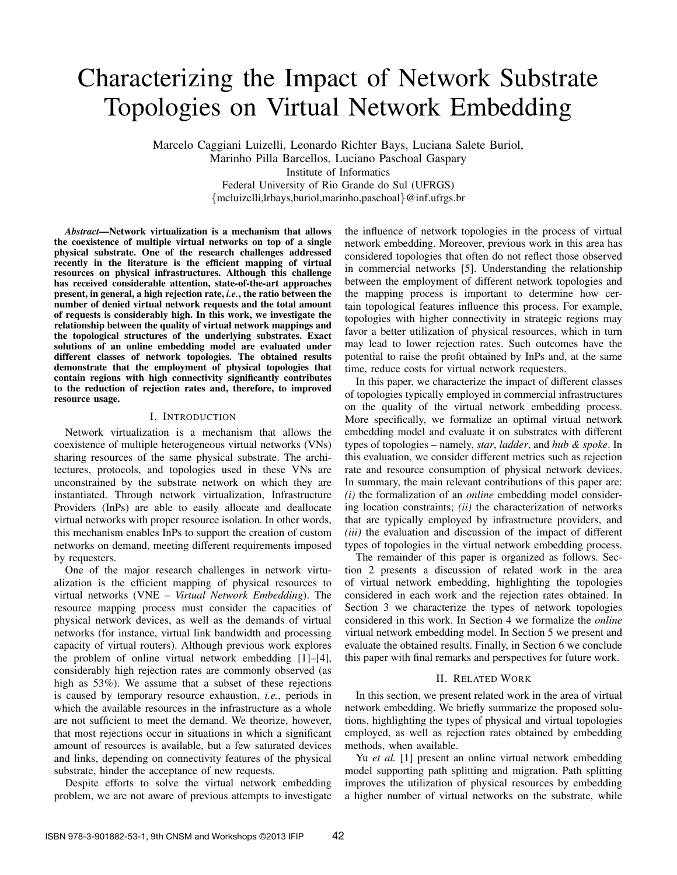# Characterizing the Impact of Network Substrate Topologies on Virtual Network Embedding

Marcelo Caggiani Luizelli, Leonardo Richter Bays, Luciana Salete Buriol, Marinho Pilla Barcellos, Luciano Paschoal Gaspary Institute of Informatics Federal University of Rio Grande do Sul (UFRGS) {mcluizelli,lrbays,buriol,marinho,paschoal}@inf.ufrgs.br

*Abstract*—Network virtualization is a mechanism that allows the coexistence of multiple virtual networks on top of a single physical substrate. One of the research challenges addressed recently in the literature is the efficient mapping of virtual resources on physical infrastructures. Although this challenge has received considerable attention, state-of-the-art approaches present, in general, a high rejection rate, *i.e.*, the ratio between the number of denied virtual network requests and the total amount of requests is considerably high. In this work, we investigate the relationship between the quality of virtual network mappings and the topological structures of the underlying substrates. Exact solutions of an online embedding model are evaluated under different classes of network topologies. The obtained results demonstrate that the employment of physical topologies that contain regions with high connectivity significantly contributes to the reduction of rejection rates and, therefore, to improved resource usage.

### I. INTRODUCTION

Network virtualization is a mechanism that allows the coexistence of multiple heterogeneous virtual networks (VNs) sharing resources of the same physical substrate. The architectures, protocols, and topologies used in these VNs are unconstrained by the substrate network on which they are instantiated. Through network virtualization, Infrastructure Providers (InPs) are able to easily allocate and deallocate virtual networks with proper resource isolation. In other words, this mechanism enables InPs to support the creation of custom networks on demand, meeting different requirements imposed by requesters.

One of the major research challenges in network virtualization is the efficient mapping of physical resources to virtual networks (VNE – *Virtual Network Embedding*). The resource mapping process must consider the capacities of physical network devices, as well as the demands of virtual networks (for instance, virtual link bandwidth and processing capacity of virtual routers). Although previous work explores the problem of online virtual network embedding [1]–[4], considerably high rejection rates are commonly observed (as high as 53%). We assume that a subset of these rejections is caused by temporary resource exhaustion, *i.e.*, periods in which the available resources in the infrastructure as a whole are not sufficient to meet the demand. We theorize, however, that most rejections occur in situations in which a significant amount of resources is available, but a few saturated devices and links, depending on connectivity features of the physical substrate, hinder the acceptance of new requests.

Despite efforts to solve the virtual network embedding problem, we are not aware of previous attempts to investigate the influence of network topologies in the process of virtual network embedding. Moreover, previous work in this area has considered topologies that often do not reflect those observed in commercial networks [5]. Understanding the relationship between the employment of different network topologies and the mapping process is important to determine how certain topological features influence this process. For example, topologies with higher connectivity in strategic regions may favor a better utilization of physical resources, which in turn may lead to lower rejection rates. Such outcomes have the potential to raise the profit obtained by InPs and, at the same time, reduce costs for virtual network requesters.

In this paper, we characterize the impact of different classes of topologies typically employed in commercial infrastructures on the quality of the virtual network embedding process. More specifically, we formalize an optimal virtual network embedding model and evaluate it on substrates with different types of topologies – namely, *star*, *ladder*, and *hub & spoke*. In this evaluation, we consider different metrics such as rejection rate and resource consumption of physical network devices. In summary, the main relevant contributions of this paper are: *(i)* the formalization of an *online* embedding model considering location constraints; *(ii)* the characterization of networks that are typically employed by infrastructure providers, and *(iii)* the evaluation and discussion of the impact of different types of topologies in the virtual network embedding process.

The remainder of this paper is organized as follows. Section 2 presents a discussion of related work in the area of virtual network embedding, highlighting the topologies considered in each work and the rejection rates obtained. In Section 3 we characterize the types of network topologies considered in this work. In Section 4 we formalize the *online* virtual network embedding model. In Section 5 we present and evaluate the obtained results. Finally, in Section 6 we conclude this paper with final remarks and perspectives for future work.

### II. RELATED WORK

In this section, we present related work in the area of virtual network embedding. We briefly summarize the proposed solutions, highlighting the types of physical and virtual topologies employed, as well as rejection rates obtained by embedding methods, when available.

Yu *et al.* [1] present an online virtual network embedding model supporting path splitting and migration. Path splitting improves the utilization of physical resources by embedding a higher number of virtual networks on the substrate, while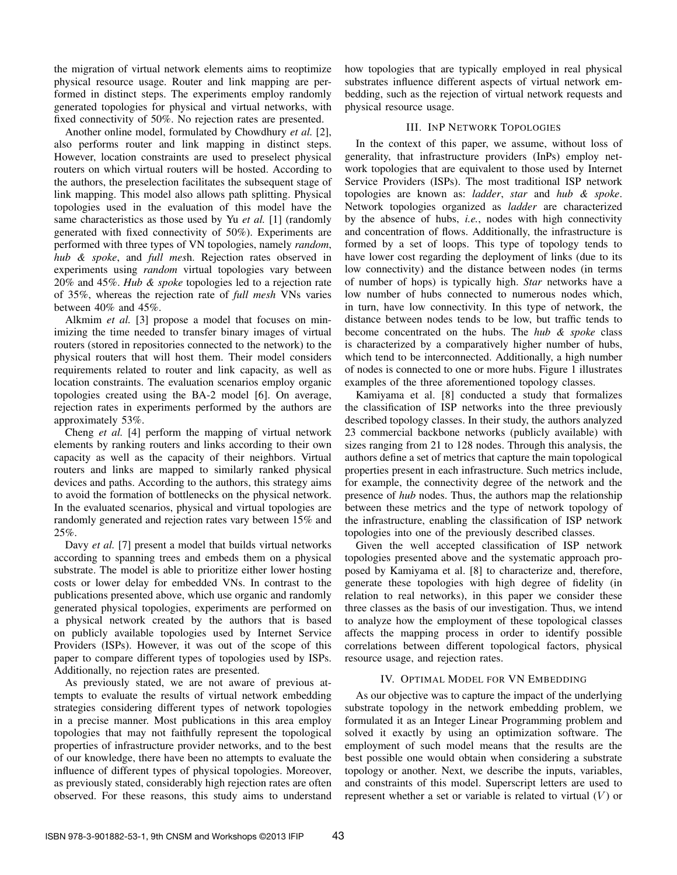the migration of virtual network elements aims to reoptimize physical resource usage. Router and link mapping are performed in distinct steps. The experiments employ randomly generated topologies for physical and virtual networks, with fixed connectivity of 50%. No rejection rates are presented.

Another online model, formulated by Chowdhury *et al.* [2], also performs router and link mapping in distinct steps. However, location constraints are used to preselect physical routers on which virtual routers will be hosted. According to the authors, the preselection facilitates the subsequent stage of link mapping. This model also allows path splitting. Physical topologies used in the evaluation of this model have the same characteristics as those used by Yu *et al.* [1] (randomly generated with fixed connectivity of 50%). Experiments are performed with three types of VN topologies, namely *random*, *hub & spoke*, and *full mes*h. Rejection rates observed in experiments using *random* virtual topologies vary between 20% and 45%. *Hub & spoke* topologies led to a rejection rate of 35%, whereas the rejection rate of *full mesh* VNs varies between 40% and 45%.

Alkmim *et al.* [3] propose a model that focuses on minimizing the time needed to transfer binary images of virtual routers (stored in repositories connected to the network) to the physical routers that will host them. Their model considers requirements related to router and link capacity, as well as location constraints. The evaluation scenarios employ organic topologies created using the BA-2 model [6]. On average, rejection rates in experiments performed by the authors are approximately 53%.

Cheng *et al.* [4] perform the mapping of virtual network elements by ranking routers and links according to their own capacity as well as the capacity of their neighbors. Virtual routers and links are mapped to similarly ranked physical devices and paths. According to the authors, this strategy aims to avoid the formation of bottlenecks on the physical network. In the evaluated scenarios, physical and virtual topologies are randomly generated and rejection rates vary between 15% and 25%.

Davy *et al.* [7] present a model that builds virtual networks according to spanning trees and embeds them on a physical substrate. The model is able to prioritize either lower hosting costs or lower delay for embedded VNs. In contrast to the publications presented above, which use organic and randomly generated physical topologies, experiments are performed on a physical network created by the authors that is based on publicly available topologies used by Internet Service Providers (ISPs). However, it was out of the scope of this paper to compare different types of topologies used by ISPs. Additionally, no rejection rates are presented.

As previously stated, we are not aware of previous attempts to evaluate the results of virtual network embedding strategies considering different types of network topologies in a precise manner. Most publications in this area employ topologies that may not faithfully represent the topological properties of infrastructure provider networks, and to the best of our knowledge, there have been no attempts to evaluate the influence of different types of physical topologies. Moreover, as previously stated, considerably high rejection rates are often observed. For these reasons, this study aims to understand

how topologies that are typically employed in real physical substrates influence different aspects of virtual network embedding, such as the rejection of virtual network requests and physical resource usage.

## III. INP NETWORK TOPOLOGIES

In the context of this paper, we assume, without loss of generality, that infrastructure providers (InPs) employ network topologies that are equivalent to those used by Internet Service Providers (ISPs). The most traditional ISP network topologies are known as: *ladder*, *star* and *hub & spoke*. Network topologies organized as *ladder* are characterized by the absence of hubs, *i.e.*, nodes with high connectivity and concentration of flows. Additionally, the infrastructure is formed by a set of loops. This type of topology tends to have lower cost regarding the deployment of links (due to its low connectivity) and the distance between nodes (in terms of number of hops) is typically high. *Star* networks have a low number of hubs connected to numerous nodes which, in turn, have low connectivity. In this type of network, the distance between nodes tends to be low, but traffic tends to become concentrated on the hubs. The *hub & spoke* class is characterized by a comparatively higher number of hubs, which tend to be interconnected. Additionally, a high number of nodes is connected to one or more hubs. Figure 1 illustrates examples of the three aforementioned topology classes.

Kamiyama et al. [8] conducted a study that formalizes the classification of ISP networks into the three previously described topology classes. In their study, the authors analyzed 23 commercial backbone networks (publicly available) with sizes ranging from 21 to 128 nodes. Through this analysis, the authors define a set of metrics that capture the main topological properties present in each infrastructure. Such metrics include, for example, the connectivity degree of the network and the presence of *hub* nodes. Thus, the authors map the relationship between these metrics and the type of network topology of the infrastructure, enabling the classification of ISP network topologies into one of the previously described classes.

Given the well accepted classification of ISP network topologies presented above and the systematic approach proposed by Kamiyama et al. [8] to characterize and, therefore, generate these topologies with high degree of fidelity (in relation to real networks), in this paper we consider these three classes as the basis of our investigation. Thus, we intend to analyze how the employment of these topological classes affects the mapping process in order to identify possible correlations between different topological factors, physical resource usage, and rejection rates.

## IV. OPTIMAL MODEL FOR VN EMBEDDING

As our objective was to capture the impact of the underlying substrate topology in the network embedding problem, we formulated it as an Integer Linear Programming problem and solved it exactly by using an optimization software. The employment of such model means that the results are the best possible one would obtain when considering a substrate topology or another. Next, we describe the inputs, variables, and constraints of this model. Superscript letters are used to represent whether a set or variable is related to virtual  $(V)$  or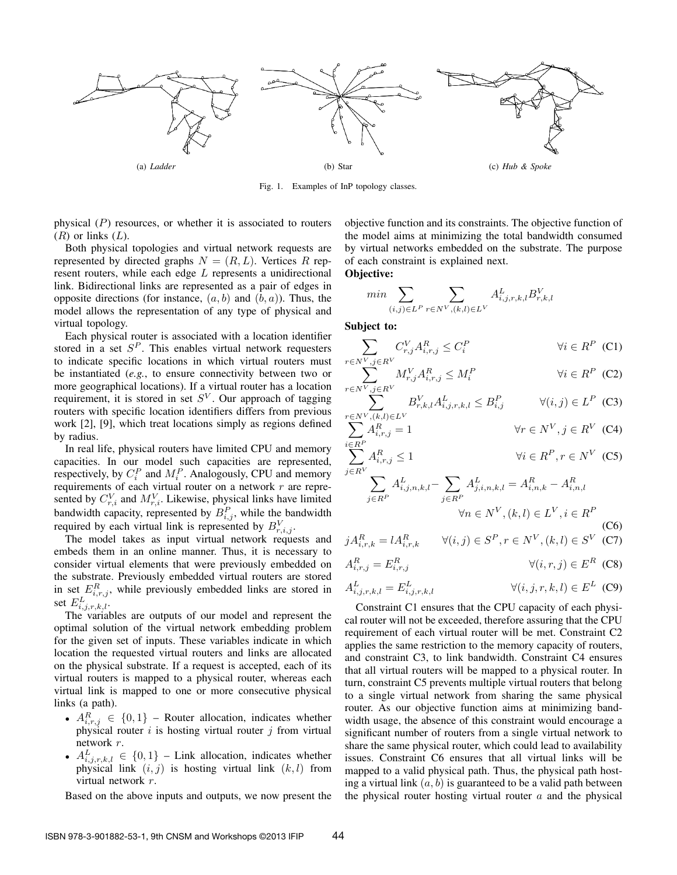

Fig. 1. Examples of InP topology classes.

physical  $(P)$  resources, or whether it is associated to routers  $(R)$  or links  $(L)$ .

Both physical topologies and virtual network requests are represented by directed graphs  $N = (R, L)$ . Vertices R represent routers, while each edge  $L$  represents a unidirectional link. Bidirectional links are represented as a pair of edges in opposite directions (for instance,  $(a, b)$  and  $(b, a)$ ). Thus, the model allows the representation of any type of physical and virtual topology.

Each physical router is associated with a location identifier stored in a set  $S<sup>P</sup>$ . This enables virtual network requesters to indicate specific locations in which virtual routers must be instantiated (*e.g.*, to ensure connectivity between two or more geographical locations). If a virtual router has a location requirement, it is stored in set  $S<sup>V</sup>$ . Our approach of tagging routers with specific location identifiers differs from previous work [2], [9], which treat locations simply as regions defined by radius.

In real life, physical routers have limited CPU and memory capacities. In our model such capacities are represented, respectively, by  $C_i^P$  and  $M_i^P$ . Analogously, CPU and memory requirements of each virtual router on a network  $r$  are represented by  $C_{r,i}^V$  and  $M_{r,i}^V$ . Likewise, physical links have limited bandwidth capacity, represented by  $B_{i,j}^P$ , while the bandwidth required by each virtual link is represented by  $B_{r,i,j}^V$ .

The model takes as input virtual network requests and embeds them in an online manner. Thus, it is necessary to consider virtual elements that were previously embedded on the substrate. Previously embedded virtual routers are stored in set  $E_{i,r,j}^R$ , while previously embedded links are stored in set  $E^{L}_{i,j,r,k,l}$ .

The variables are outputs of our model and represent the optimal solution of the virtual network embedding problem for the given set of inputs. These variables indicate in which location the requested virtual routers and links are allocated on the physical substrate. If a request is accepted, each of its virtual routers is mapped to a physical router, whereas each virtual link is mapped to one or more consecutive physical links (a path).

- $A_{i,r,j}^R$   $\in$   $\{0,1\}$  Router allocation, indicates whether physical router  $i$  is hosting virtual router  $j$  from virtual network r.
- $A_{i,j,r,k,l}^L \in \{0,1\}$  Link allocation, indicates whether physical link  $(i, j)$  is hosting virtual link  $(k, l)$  from virtual network r.

Based on the above inputs and outputs, we now present the

objective function and its constraints. The objective function of the model aims at minimizing the total bandwidth consumed by virtual networks embedded on the substrate. The purpose of each constraint is explained next. Objective:

$$
\min \sum_{(i,j)\in L^P}\sum_{r\in N^V,(k,l)\in L^V}A^L_{i,j,r,k,l}B^V_{r,k,l}
$$

Subject to:

$$
\sum_{r \in N^V, j \in R^V} C_{r,j}^V A_{i,r,j}^R \le C_i^P \qquad \forall i \in R^P \tag{C1}
$$

$$
\sum_{i \in N^V}^{N} M_{r,j}^V A_{i,r,j}^R \le M_i^P \qquad \forall i \in R^P \tag{C2}
$$

$$
\sum_{r \in N^V, (k,l) \in L^V}^{r \in N^V, j \in R^V} B_{r,k,l}^V A_{i,j,r,k,l}^L \le B_{i,j}^P \qquad \forall (i,j) \in L^P \tag{C3}
$$

$$
\sum_{i \in R^P} A_{i,r,j}^R = 1 \qquad \forall r \in N^V, j \in R^V \tag{C4}
$$

$$
\sum_{j \in R^V} A_{i,r,j}^R \le 1 \qquad \forall i \in R^P, r \in N^V \tag{C5}
$$

$$
\sum_{j \in R^P} A_{i,j,n,k,l}^L - \sum_{j \in R^P} A_{j,i,n,k,l}^L = A_{i,n,k}^R - A_{i,n,l}^R
$$
  

$$
\forall n \in N^V, (k,l) \in L^V, i \in R^P
$$
 (C6)

$$
j A_{i,r,k}^R = l A_{i,r,k}^R \qquad \forall (i,j) \in S^P, r \in N^V, (k,l) \in S^V \tag{C7}
$$

$$
A_{i,r,j}^R = E_{i,r,j}^R \qquad \qquad \forall (i,r,j) \in E^R \tag{C8}
$$

$$
A_{i,j,r,k,l}^{L} = E_{i,j,r,k,l}^{L} \qquad \forall (i,j,r,k,l) \in E^{L} \tag{C9}
$$

Constraint C1 ensures that the CPU capacity of each physical router will not be exceeded, therefore assuring that the CPU requirement of each virtual router will be met. Constraint C2 applies the same restriction to the memory capacity of routers, and constraint C3, to link bandwidth. Constraint C4 ensures that all virtual routers will be mapped to a physical router. In turn, constraint C5 prevents multiple virtual routers that belong to a single virtual network from sharing the same physical router. As our objective function aims at minimizing bandwidth usage, the absence of this constraint would encourage a significant number of routers from a single virtual network to share the same physical router, which could lead to availability issues. Constraint C6 ensures that all virtual links will be mapped to a valid physical path. Thus, the physical path hosting a virtual link  $(a, b)$  is guaranteed to be a valid path between the physical router hosting virtual router  $\alpha$  and the physical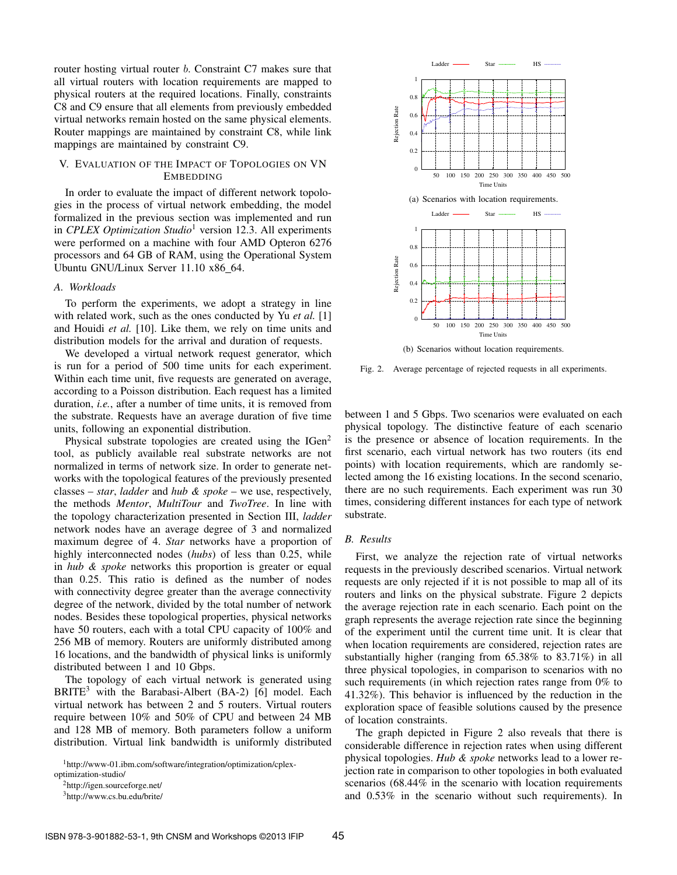router hosting virtual router b. Constraint C7 makes sure that all virtual routers with location requirements are mapped to physical routers at the required locations. Finally, constraints C8 and C9 ensure that all elements from previously embedded virtual networks remain hosted on the same physical elements. Router mappings are maintained by constraint C8, while link mappings are maintained by constraint C9.

# V. EVALUATION OF THE IMPACT OF TOPOLOGIES ON VN EMBEDDING

In order to evaluate the impact of different network topologies in the process of virtual network embedding, the model formalized in the previous section was implemented and run in *CPLEX Optimization Studio*<sup>1</sup> version 12.3. All experiments were performed on a machine with four AMD Opteron 6276 processors and 64 GB of RAM, using the Operational System Ubuntu GNU/Linux Server 11.10 x86\_64.

## *A. Workloads*

To perform the experiments, we adopt a strategy in line with related work, such as the ones conducted by Yu *et al.* [1] and Houidi *et al.* [10]. Like them, we rely on time units and distribution models for the arrival and duration of requests.

We developed a virtual network request generator, which is run for a period of 500 time units for each experiment. Within each time unit, five requests are generated on average, according to a Poisson distribution. Each request has a limited duration, *i.e.*, after a number of time units, it is removed from the substrate. Requests have an average duration of five time units, following an exponential distribution.

Physical substrate topologies are created using the IGen<sup>2</sup> tool, as publicly available real substrate networks are not normalized in terms of network size. In order to generate networks with the topological features of the previously presented classes – *star*, *ladder* and *hub & spoke* – we use, respectively, the methods *Mentor*, *MultiTour* and *TwoTree*. In line with the topology characterization presented in Section III, *ladder* network nodes have an average degree of 3 and normalized maximum degree of 4. *Star* networks have a proportion of highly interconnected nodes (*hubs*) of less than 0.25, while in *hub & spoke* networks this proportion is greater or equal than 0.25. This ratio is defined as the number of nodes with connectivity degree greater than the average connectivity degree of the network, divided by the total number of network nodes. Besides these topological properties, physical networks have 50 routers, each with a total CPU capacity of 100% and 256 MB of memory. Routers are uniformly distributed among 16 locations, and the bandwidth of physical links is uniformly distributed between 1 and 10 Gbps.

The topology of each virtual network is generated using  $BRITE<sup>3</sup>$  with the Barabasi-Albert (BA-2) [6] model. Each virtual network has between 2 and 5 routers. Virtual routers require between 10% and 50% of CPU and between 24 MB and 128 MB of memory. Both parameters follow a uniform distribution. Virtual link bandwidth is uniformly distributed



(b) Scenarios without location requirements.

Fig. 2. Average percentage of rejected requests in all experiments.

between 1 and 5 Gbps. Two scenarios were evaluated on each physical topology. The distinctive feature of each scenario is the presence or absence of location requirements. In the first scenario, each virtual network has two routers (its end points) with location requirements, which are randomly selected among the 16 existing locations. In the second scenario, there are no such requirements. Each experiment was run 30 times, considering different instances for each type of network substrate.

## *B. Results*

First, we analyze the rejection rate of virtual networks requests in the previously described scenarios. Virtual network requests are only rejected if it is not possible to map all of its routers and links on the physical substrate. Figure 2 depicts the average rejection rate in each scenario. Each point on the graph represents the average rejection rate since the beginning of the experiment until the current time unit. It is clear that when location requirements are considered, rejection rates are substantially higher (ranging from 65.38% to 83.71%) in all three physical topologies, in comparison to scenarios with no such requirements (in which rejection rates range from 0% to 41.32%). This behavior is influenced by the reduction in the exploration space of feasible solutions caused by the presence of location constraints.

The graph depicted in Figure 2 also reveals that there is considerable difference in rejection rates when using different physical topologies. *Hub & spoke* networks lead to a lower rejection rate in comparison to other topologies in both evaluated scenarios (68.44% in the scenario with location requirements and 0.53% in the scenario without such requirements). In

<sup>&</sup>lt;sup>1</sup>http://www-01.ibm.com/software/integration/optimization/cplex-

optimization-studio/

<sup>2</sup>http://igen.sourceforge.net/

<sup>3</sup>http://www.cs.bu.edu/brite/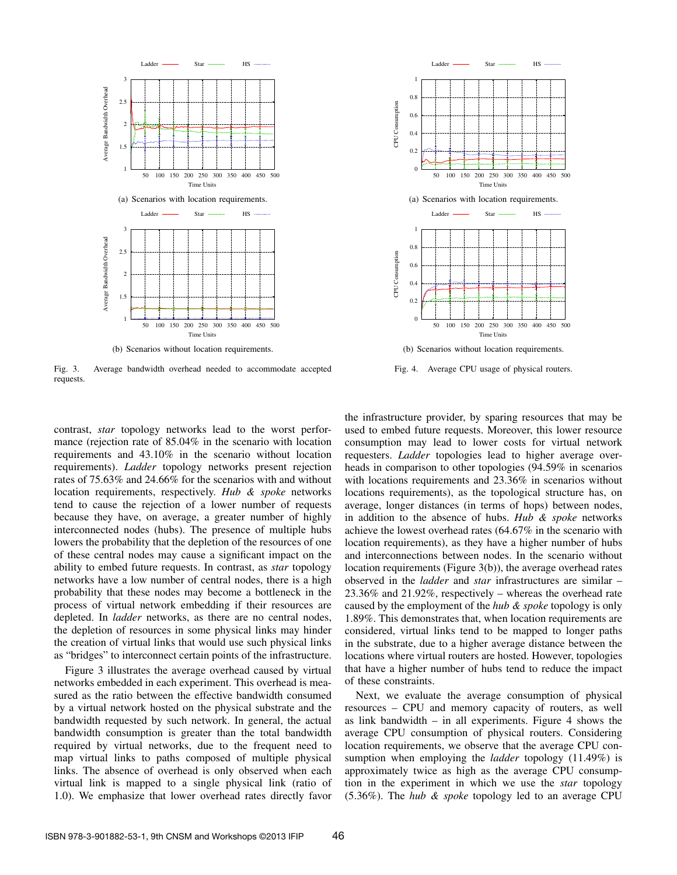

Fig. 3. Average bandwidth overhead needed to accommodate accepted

requests.

contrast, *star* topology networks lead to the worst performance (rejection rate of 85.04% in the scenario with location requirements and 43.10% in the scenario without location requirements). *Ladder* topology networks present rejection rates of 75.63% and 24.66% for the scenarios with and without location requirements, respectively. *Hub & spoke* networks tend to cause the rejection of a lower number of requests because they have, on average, a greater number of highly interconnected nodes (hubs). The presence of multiple hubs lowers the probability that the depletion of the resources of one of these central nodes may cause a significant impact on the ability to embed future requests. In contrast, as *star* topology networks have a low number of central nodes, there is a high probability that these nodes may become a bottleneck in the process of virtual network embedding if their resources are depleted. In *ladder* networks, as there are no central nodes, the depletion of resources in some physical links may hinder the creation of virtual links that would use such physical links as "bridges" to interconnect certain points of the infrastructure.

Figure 3 illustrates the average overhead caused by virtual networks embedded in each experiment. This overhead is measured as the ratio between the effective bandwidth consumed by a virtual network hosted on the physical substrate and the bandwidth requested by such network. In general, the actual bandwidth consumption is greater than the total bandwidth required by virtual networks, due to the frequent need to map virtual links to paths composed of multiple physical links. The absence of overhead is only observed when each virtual link is mapped to a single physical link (ratio of 1.0). We emphasize that lower overhead rates directly favor



Fig. 4. Average CPU usage of physical routers.

the infrastructure provider, by sparing resources that may be used to embed future requests. Moreover, this lower resource consumption may lead to lower costs for virtual network requesters. *Ladder* topologies lead to higher average overheads in comparison to other topologies (94.59% in scenarios with locations requirements and 23.36% in scenarios without locations requirements), as the topological structure has, on average, longer distances (in terms of hops) between nodes, in addition to the absence of hubs. *Hub & spoke* networks achieve the lowest overhead rates (64.67% in the scenario with location requirements), as they have a higher number of hubs and interconnections between nodes. In the scenario without location requirements (Figure 3(b)), the average overhead rates observed in the *ladder* and *star* infrastructures are similar – 23.36% and 21.92%, respectively – whereas the overhead rate caused by the employment of the *hub & spoke* topology is only 1.89%. This demonstrates that, when location requirements are considered, virtual links tend to be mapped to longer paths in the substrate, due to a higher average distance between the locations where virtual routers are hosted. However, topologies that have a higher number of hubs tend to reduce the impact of these constraints.

Next, we evaluate the average consumption of physical resources – CPU and memory capacity of routers, as well as link bandwidth  $-$  in all experiments. Figure 4 shows the average CPU consumption of physical routers. Considering location requirements, we observe that the average CPU consumption when employing the *ladder* topology (11.49%) is approximately twice as high as the average CPU consumption in the experiment in which we use the *star* topology (5.36%). The *hub & spoke* topology led to an average CPU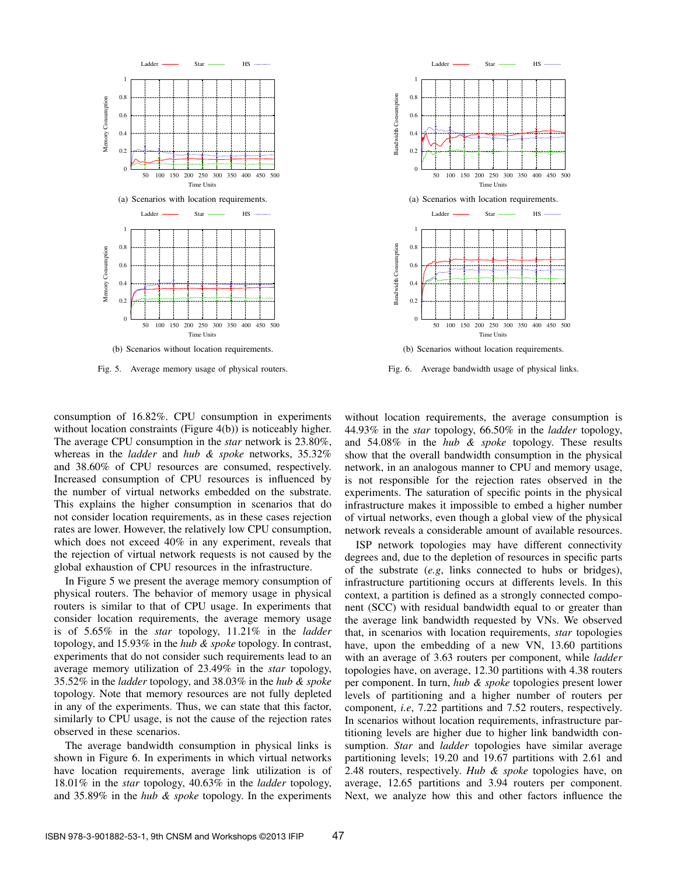

(b) Scenarios without location requirements.

Fig. 5. Average memory usage of physical routers.

consumption of 16.82%. CPU consumption in experiments without location constraints (Figure 4(b)) is noticeably higher. The average CPU consumption in the *star* network is 23.80%, whereas in the *ladder* and *hub & spoke* networks, 35.32% and 38.60% of CPU resources are consumed, respectively. Increased consumption of CPU resources is influenced by the number of virtual networks embedded on the substrate. This explains the higher consumption in scenarios that do not consider location requirements, as in these cases rejection rates are lower. However, the relatively low CPU consumption, which does not exceed 40% in any experiment, reveals that the rejection of virtual network requests is not caused by the global exhaustion of CPU resources in the infrastructure.

In Figure 5 we present the average memory consumption of physical routers. The behavior of memory usage in physical routers is similar to that of CPU usage. In experiments that consider location requirements, the average memory usage is of 5.65% in the *star* topology, 11.21% in the *ladder* topology, and 15.93% in the *hub & spoke* topology. In contrast, experiments that do not consider such requirements lead to an average memory utilization of 23.49% in the *star* topology, 35.52% in the *ladder* topology, and 38.03% in the *hub & spoke* topology. Note that memory resources are not fully depleted in any of the experiments. Thus, we can state that this factor, similarly to CPU usage, is not the cause of the rejection rates observed in these scenarios.

The average bandwidth consumption in physical links is shown in Figure 6. In experiments in which virtual networks have location requirements, average link utilization is of 18.01% in the *star* topology, 40.63% in the *ladder* topology, and 35.89% in the *hub & spoke* topology. In the experiments



Fig. 6. Average bandwidth usage of physical links.

without location requirements, the average consumption is 44.93% in the *star* topology, 66.50% in the *ladder* topology, and 54.08% in the *hub & spoke* topology. These results show that the overall bandwidth consumption in the physical network, in an analogous manner to CPU and memory usage, is not responsible for the rejection rates observed in the experiments. The saturation of specific points in the physical infrastructure makes it impossible to embed a higher number of virtual networks, even though a global view of the physical network reveals a considerable amount of available resources.

ISP network topologies may have different connectivity degrees and, due to the depletion of resources in specific parts of the substrate (*e.g*, links connected to hubs or bridges), infrastructure partitioning occurs at differents levels. In this context, a partition is defined as a strongly connected component (SCC) with residual bandwidth equal to or greater than the average link bandwidth requested by VNs. We observed that, in scenarios with location requirements, *star* topologies have, upon the embedding of a new VN, 13.60 partitions with an average of 3.63 routers per component, while *ladder* topologies have, on average, 12.30 partitions with 4.38 routers per component. In turn, *hub & spoke* topologies present lower levels of partitioning and a higher number of routers per component, *i.e*, 7.22 partitions and 7.52 routers, respectively. In scenarios without location requirements, infrastructure partitioning levels are higher due to higher link bandwidth consumption. *Star* and *ladder* topologies have similar average partitioning levels; 19.20 and 19.67 partitions with 2.61 and 2.48 routers, respectively. *Hub & spoke* topologies have, on average, 12.65 partitions and 3.94 routers per component. Next, we analyze how this and other factors influence the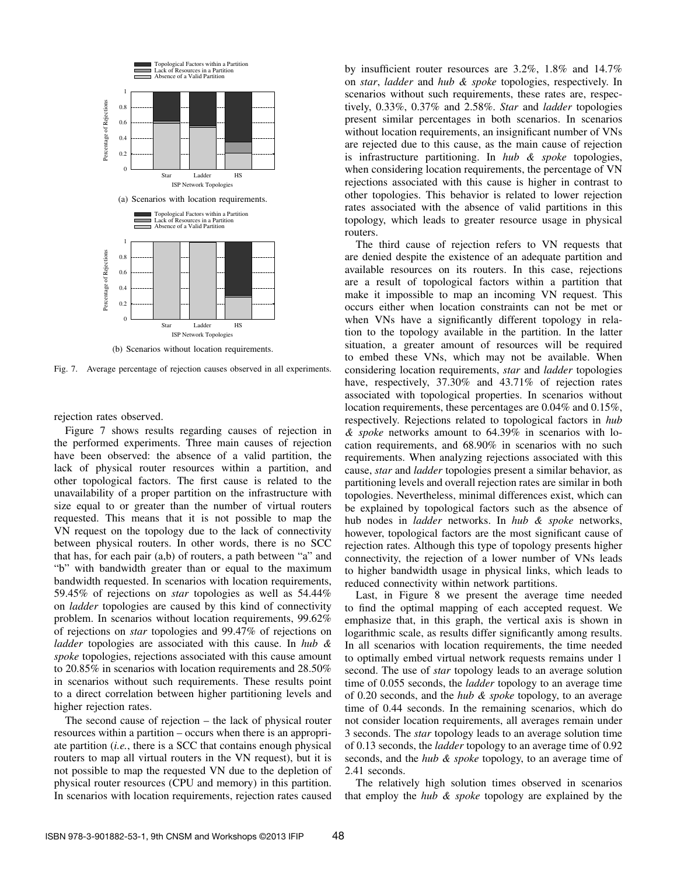

Fig. 7. Average percentage of rejection causes observed in all experiments.

rejection rates observed.

Figure 7 shows results regarding causes of rejection in the performed experiments. Three main causes of rejection have been observed: the absence of a valid partition, the lack of physical router resources within a partition, and other topological factors. The first cause is related to the unavailability of a proper partition on the infrastructure with size equal to or greater than the number of virtual routers requested. This means that it is not possible to map the VN request on the topology due to the lack of connectivity between physical routers. In other words, there is no SCC that has, for each pair (a,b) of routers, a path between "a" and "b" with bandwidth greater than or equal to the maximum bandwidth requested. In scenarios with location requirements, 59.45% of rejections on *star* topologies as well as 54.44% on *ladder* topologies are caused by this kind of connectivity problem. In scenarios without location requirements, 99.62% of rejections on *star* topologies and 99.47% of rejections on *ladder* topologies are associated with this cause. In *hub & spoke* topologies, rejections associated with this cause amount to 20.85% in scenarios with location requirements and 28.50% in scenarios without such requirements. These results point to a direct correlation between higher partitioning levels and higher rejection rates.

The second cause of rejection – the lack of physical router resources within a partition – occurs when there is an appropriate partition (*i.e.*, there is a SCC that contains enough physical routers to map all virtual routers in the VN request), but it is not possible to map the requested VN due to the depletion of physical router resources (CPU and memory) in this partition. In scenarios with location requirements, rejection rates caused

by insufficient router resources are 3.2%, 1.8% and 14.7% on *star*, *ladder* and *hub & spoke* topologies, respectively. In scenarios without such requirements, these rates are, respectively, 0.33%, 0.37% and 2.58%. *Star* and *ladder* topologies present similar percentages in both scenarios. In scenarios without location requirements, an insignificant number of VNs are rejected due to this cause, as the main cause of rejection is infrastructure partitioning. In *hub & spoke* topologies, when considering location requirements, the percentage of VN rejections associated with this cause is higher in contrast to other topologies. This behavior is related to lower rejection rates associated with the absence of valid partitions in this topology, which leads to greater resource usage in physical routers.

The third cause of rejection refers to VN requests that are denied despite the existence of an adequate partition and available resources on its routers. In this case, rejections are a result of topological factors within a partition that make it impossible to map an incoming VN request. This occurs either when location constraints can not be met or when VNs have a significantly different topology in relation to the topology available in the partition. In the latter situation, a greater amount of resources will be required to embed these VNs, which may not be available. When considering location requirements, *star* and *ladder* topologies have, respectively, 37.30% and 43.71% of rejection rates associated with topological properties. In scenarios without location requirements, these percentages are 0.04% and 0.15%, respectively. Rejections related to topological factors in *hub & spoke* networks amount to 64.39% in scenarios with location requirements, and 68.90% in scenarios with no such requirements. When analyzing rejections associated with this cause, *star* and *ladder* topologies present a similar behavior, as partitioning levels and overall rejection rates are similar in both topologies. Nevertheless, minimal differences exist, which can be explained by topological factors such as the absence of hub nodes in *ladder* networks. In *hub & spoke* networks, however, topological factors are the most significant cause of rejection rates. Although this type of topology presents higher connectivity, the rejection of a lower number of VNs leads to higher bandwidth usage in physical links, which leads to reduced connectivity within network partitions.

Last, in Figure 8 we present the average time needed to find the optimal mapping of each accepted request. We emphasize that, in this graph, the vertical axis is shown in logarithmic scale, as results differ significantly among results. In all scenarios with location requirements, the time needed to optimally embed virtual network requests remains under 1 second. The use of *star* topology leads to an average solution time of 0.055 seconds, the *ladder* topology to an average time of 0.20 seconds, and the *hub & spoke* topology, to an average time of 0.44 seconds. In the remaining scenarios, which do not consider location requirements, all averages remain under 3 seconds. The *star* topology leads to an average solution time of 0.13 seconds, the *ladder* topology to an average time of 0.92 seconds, and the *hub & spoke* topology, to an average time of 2.41 seconds.

The relatively high solution times observed in scenarios that employ the *hub & spoke* topology are explained by the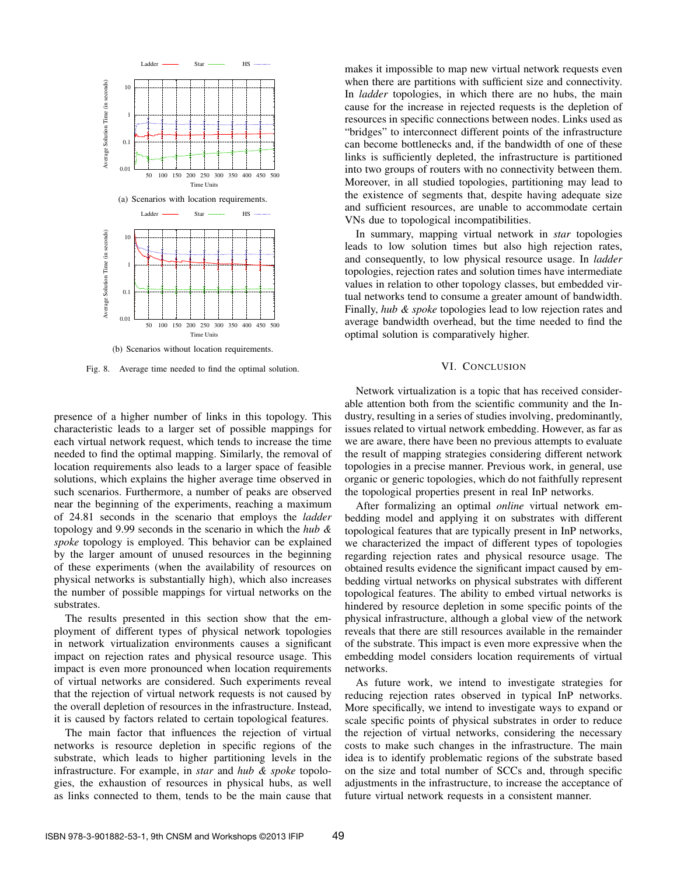

(b) Scenarios without location requirements.

Fig. 8. Average time needed to find the optimal solution.

presence of a higher number of links in this topology. This characteristic leads to a larger set of possible mappings for each virtual network request, which tends to increase the time needed to find the optimal mapping. Similarly, the removal of location requirements also leads to a larger space of feasible solutions, which explains the higher average time observed in such scenarios. Furthermore, a number of peaks are observed near the beginning of the experiments, reaching a maximum of 24.81 seconds in the scenario that employs the *ladder* topology and 9.99 seconds in the scenario in which the *hub & spoke* topology is employed. This behavior can be explained by the larger amount of unused resources in the beginning of these experiments (when the availability of resources on physical networks is substantially high), which also increases the number of possible mappings for virtual networks on the substrates.

The results presented in this section show that the employment of different types of physical network topologies in network virtualization environments causes a significant impact on rejection rates and physical resource usage. This impact is even more pronounced when location requirements of virtual networks are considered. Such experiments reveal that the rejection of virtual network requests is not caused by the overall depletion of resources in the infrastructure. Instead, it is caused by factors related to certain topological features.

The main factor that influences the rejection of virtual networks is resource depletion in specific regions of the substrate, which leads to higher partitioning levels in the infrastructure. For example, in *star* and *hub & spoke* topologies, the exhaustion of resources in physical hubs, as well as links connected to them, tends to be the main cause that

makes it impossible to map new virtual network requests even when there are partitions with sufficient size and connectivity. In *ladder* topologies, in which there are no hubs, the main cause for the increase in rejected requests is the depletion of resources in specific connections between nodes. Links used as "bridges" to interconnect different points of the infrastructure can become bottlenecks and, if the bandwidth of one of these links is sufficiently depleted, the infrastructure is partitioned into two groups of routers with no connectivity between them. Moreover, in all studied topologies, partitioning may lead to the existence of segments that, despite having adequate size and sufficient resources, are unable to accommodate certain VNs due to topological incompatibilities.

In summary, mapping virtual network in *star* topologies leads to low solution times but also high rejection rates, and consequently, to low physical resource usage. In *ladder* topologies, rejection rates and solution times have intermediate values in relation to other topology classes, but embedded virtual networks tend to consume a greater amount of bandwidth. Finally, *hub & spoke* topologies lead to low rejection rates and average bandwidth overhead, but the time needed to find the optimal solution is comparatively higher.

### VI. CONCLUSION

Network virtualization is a topic that has received considerable attention both from the scientific community and the Industry, resulting in a series of studies involving, predominantly, issues related to virtual network embedding. However, as far as we are aware, there have been no previous attempts to evaluate the result of mapping strategies considering different network topologies in a precise manner. Previous work, in general, use organic or generic topologies, which do not faithfully represent the topological properties present in real InP networks.

After formalizing an optimal *online* virtual network embedding model and applying it on substrates with different topological features that are typically present in InP networks, we characterized the impact of different types of topologies regarding rejection rates and physical resource usage. The obtained results evidence the significant impact caused by embedding virtual networks on physical substrates with different topological features. The ability to embed virtual networks is hindered by resource depletion in some specific points of the physical infrastructure, although a global view of the network reveals that there are still resources available in the remainder of the substrate. This impact is even more expressive when the embedding model considers location requirements of virtual networks.

As future work, we intend to investigate strategies for reducing rejection rates observed in typical InP networks. More specifically, we intend to investigate ways to expand or scale specific points of physical substrates in order to reduce the rejection of virtual networks, considering the necessary costs to make such changes in the infrastructure. The main idea is to identify problematic regions of the substrate based on the size and total number of SCCs and, through specific adjustments in the infrastructure, to increase the acceptance of future virtual network requests in a consistent manner.